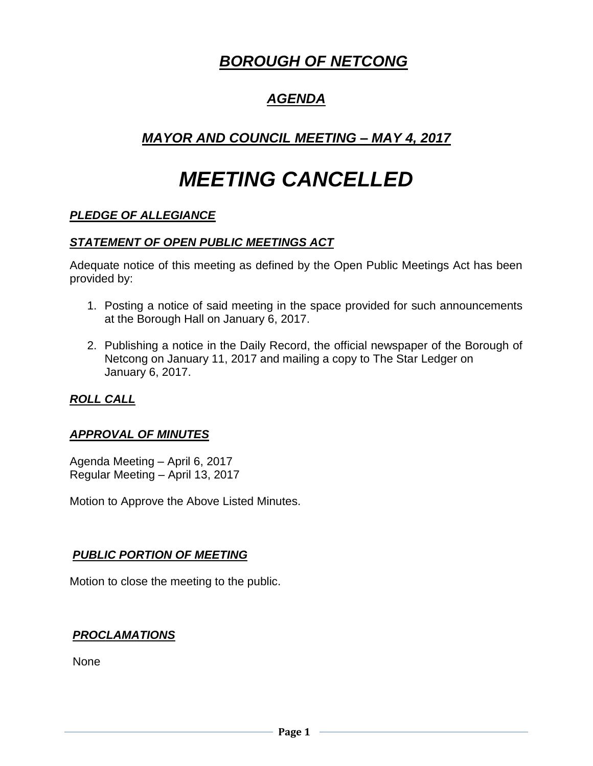# *BOROUGH OF NETCONG*

# *AGENDA*

# *MAYOR AND COUNCIL MEETING – MAY 4, 2017*

# *MEETING CANCELLED*

# *PLEDGE OF ALLEGIANCE*

## *STATEMENT OF OPEN PUBLIC MEETINGS ACT*

Adequate notice of this meeting as defined by the Open Public Meetings Act has been provided by:

- 1. Posting a notice of said meeting in the space provided for such announcements at the Borough Hall on January 6, 2017.
- 2. Publishing a notice in the Daily Record, the official newspaper of the Borough of Netcong on January 11, 2017 and mailing a copy to The Star Ledger on January 6, 2017.

## *ROLL CALL*

## *APPROVAL OF MINUTES*

Agenda Meeting – April 6, 2017 Regular Meeting – April 13, 2017

Motion to Approve the Above Listed Minutes.

## *PUBLIC PORTION OF MEETING*

Motion to close the meeting to the public.

#### *PROCLAMATIONS*

None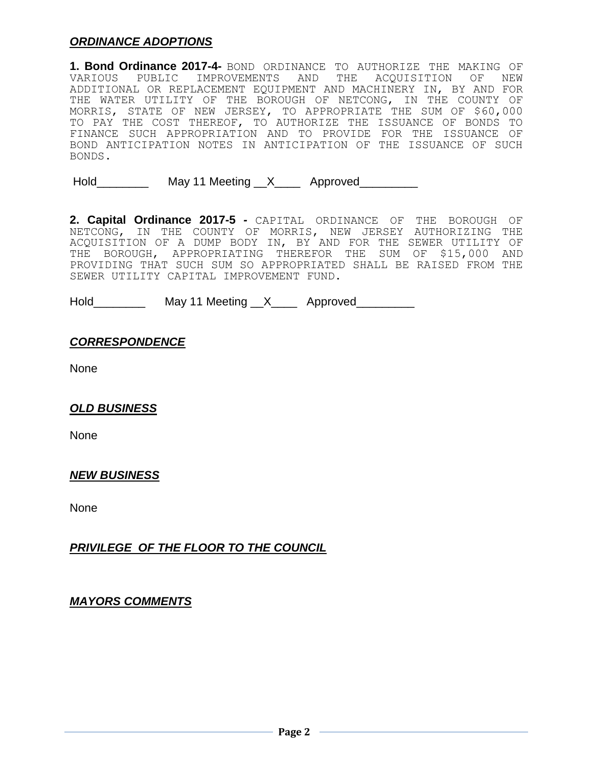## *ORDINANCE ADOPTIONS*

**1. Bond Ordinance 2017-4-** BOND ORDINANCE TO AUTHORIZE THE MAKING OF VARIOUS PUBLIC IMPROVEMENTS AND THE ACQUISITION OF NEW ADDITIONAL OR REPLACEMENT EQUIPMENT AND MACHINERY IN, BY AND FOR THE WATER UTILITY OF THE BOROUGH OF NETCONG, IN THE COUNTY OF MORRIS, STATE OF NEW JERSEY, TO APPROPRIATE THE SUM OF \$60,000 TO PAY THE COST THEREOF, TO AUTHORIZE THE ISSUANCE OF BONDS TO FINANCE SUCH APPROPRIATION AND TO PROVIDE FOR THE ISSUANCE OF BOND ANTICIPATION NOTES IN ANTICIPATION OF THE ISSUANCE OF SUCH BONDS.

Hold May 11 Meeting X Approved

**2. Capital Ordinance 2017-5** *-* CAPITAL ORDINANCE OF THE BOROUGH OF NETCONG, IN THE COUNTY OF MORRIS, NEW JERSEY AUTHORIZING THE ACQUISITION OF A DUMP BODY IN, BY AND FOR THE SEWER UTILITY OF THE BOROUGH, APPROPRIATING THEREFOR THE SUM OF \$15,000 AND PROVIDING THAT SUCH SUM SO APPROPRIATED SHALL BE RAISED FROM THE SEWER UTILITY CAPITAL IMPROVEMENT FUND.

Hold\_\_\_\_\_\_\_\_\_\_\_\_ May 11 Meeting \_\_X\_\_\_\_\_ Approved\_\_\_\_\_\_\_\_\_\_

#### *CORRESPONDENCE*

None

#### *OLD BUSINESS*

None

#### *NEW BUSINESS*

None

#### *PRIVILEGE OF THE FLOOR TO THE COUNCIL*

*MAYORS COMMENTS*